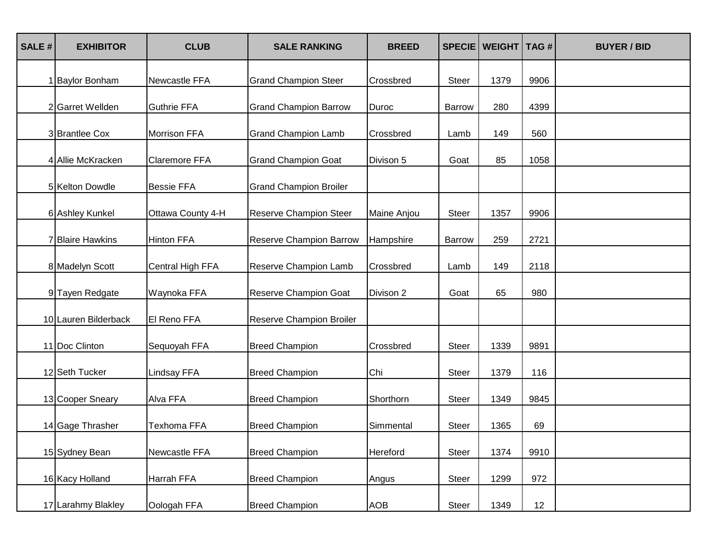| SALE # | <b>EXHIBITOR</b>     | <b>CLUB</b>          | <b>SALE RANKING</b>            | <b>BREED</b> | <b>SPECIE</b> | <b>WEIGHT   TAG #</b> |      | <b>BUYER / BID</b> |
|--------|----------------------|----------------------|--------------------------------|--------------|---------------|-----------------------|------|--------------------|
|        | Baylor Bonham        | Newcastle FFA        | <b>Grand Champion Steer</b>    | Crossbred    | <b>Steer</b>  | 1379                  | 9906 |                    |
|        | 2 Garret Wellden     | <b>Guthrie FFA</b>   | <b>Grand Champion Barrow</b>   | Duroc        | <b>Barrow</b> | 280                   | 4399 |                    |
|        | 3 Brantlee Cox       | Morrison FFA         | <b>Grand Champion Lamb</b>     | Crossbred    | Lamb          | 149                   | 560  |                    |
|        | 4 Allie McKracken    | <b>Claremore FFA</b> | <b>Grand Champion Goat</b>     | Divison 5    | Goat          | 85                    | 1058 |                    |
|        | 5 Kelton Dowdle      | <b>Bessie FFA</b>    | <b>Grand Champion Broiler</b>  |              |               |                       |      |                    |
|        | 6 Ashley Kunkel      | Ottawa County 4-H    | Reserve Champion Steer         | Maine Anjou  | <b>Steer</b>  | 1357                  | 9906 |                    |
|        | 7 Blaire Hawkins     | <b>Hinton FFA</b>    | <b>Reserve Champion Barrow</b> | Hampshire    | <b>Barrow</b> | 259                   | 2721 |                    |
|        | 8 Madelyn Scott      | Central High FFA     | Reserve Champion Lamb          | Crossbred    | Lamb          | 149                   | 2118 |                    |
|        | 9 Tayen Redgate      | Waynoka FFA          | Reserve Champion Goat          | Divison 2    | Goat          | 65                    | 980  |                    |
|        | 10 Lauren Bilderback | El Reno FFA          | Reserve Champion Broiler       |              |               |                       |      |                    |
|        | 11 Doc Clinton       | Sequoyah FFA         | <b>Breed Champion</b>          | Crossbred    | <b>Steer</b>  | 1339                  | 9891 |                    |
|        | 12 Seth Tucker       | Lindsay FFA          | <b>Breed Champion</b>          | Chi          | <b>Steer</b>  | 1379                  | 116  |                    |
|        | 13 Cooper Sneary     | Alva FFA             | <b>Breed Champion</b>          | Shorthorn    | <b>Steer</b>  | 1349                  | 9845 |                    |
|        | 14 Gage Thrasher     | <b>Texhoma FFA</b>   | <b>Breed Champion</b>          | Simmental    | <b>Steer</b>  | 1365                  | 69   |                    |
|        | 15 Sydney Bean       | Newcastle FFA        | <b>Breed Champion</b>          | Hereford     | Steer         | 1374                  | 9910 |                    |
|        | 16 Kacy Holland      | Harrah FFA           | <b>Breed Champion</b>          | Angus        | <b>Steer</b>  | 1299                  | 972  |                    |
|        | 17 Larahmy Blakley   | Oologah FFA          | <b>Breed Champion</b>          | <b>AOB</b>   | <b>Steer</b>  | 1349                  | 12   |                    |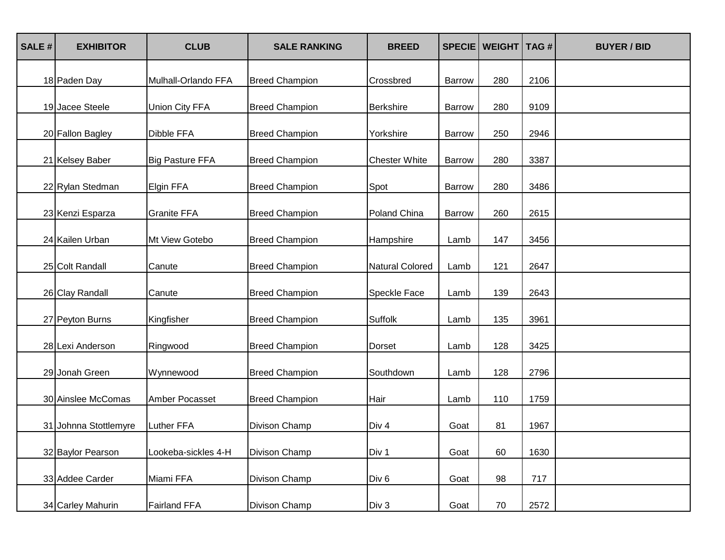| <b>SALE#</b> | <b>EXHIBITOR</b>      | <b>CLUB</b>            | <b>SALE RANKING</b>   | <b>BREED</b>         | <b>SPECIE</b> | <b>WEIGHT</b> | TAG# | <b>BUYER / BID</b> |
|--------------|-----------------------|------------------------|-----------------------|----------------------|---------------|---------------|------|--------------------|
|              | 18 Paden Day          | Mulhall-Orlando FFA    | <b>Breed Champion</b> | Crossbred            | <b>Barrow</b> | 280           | 2106 |                    |
|              | 19 Jacee Steele       | Union City FFA         | <b>Breed Champion</b> | <b>Berkshire</b>     | <b>Barrow</b> | 280           | 9109 |                    |
|              | 20 Fallon Bagley      | Dibble FFA             | <b>Breed Champion</b> | Yorkshire            | <b>Barrow</b> | 250           | 2946 |                    |
|              | 21 Kelsey Baber       | <b>Big Pasture FFA</b> | <b>Breed Champion</b> | <b>Chester White</b> | <b>Barrow</b> | 280           | 3387 |                    |
|              | 22 Rylan Stedman      | Elgin FFA              | <b>Breed Champion</b> | Spot                 | Barrow        | 280           | 3486 |                    |
|              | 23 Kenzi Esparza      | <b>Granite FFA</b>     | <b>Breed Champion</b> | Poland China         | <b>Barrow</b> | 260           | 2615 |                    |
|              | 24 Kailen Urban       | Mt View Gotebo         | <b>Breed Champion</b> | Hampshire            | Lamb          | 147           | 3456 |                    |
|              | 25 Colt Randall       | Canute                 | <b>Breed Champion</b> | Natural Colored      | Lamb          | 121           | 2647 |                    |
|              | 26 Clay Randall       | Canute                 | <b>Breed Champion</b> | Speckle Face         | Lamb          | 139           | 2643 |                    |
|              | 27 Peyton Burns       | Kingfisher             | <b>Breed Champion</b> | <b>Suffolk</b>       | Lamb          | 135           | 3961 |                    |
|              | 28 Lexi Anderson      | Ringwood               | <b>Breed Champion</b> | <b>Dorset</b>        | Lamb          | 128           | 3425 |                    |
|              | 29 Jonah Green        | Wynnewood              | <b>Breed Champion</b> | Southdown            | Lamb          | 128           | 2796 |                    |
|              | 30 Ainslee McComas    | Amber Pocasset         | <b>Breed Champion</b> | Hair                 | Lamb          | 110           | 1759 |                    |
|              | 31 Johnna Stottlemyre | <b>Luther FFA</b>      | Divison Champ         | Div <sub>4</sub>     | Goat          | 81            | 1967 |                    |
|              | 32 Baylor Pearson     | Lookeba-sickles 4-H    | Divison Champ         | Div 1                | Goat          | 60            | 1630 |                    |
|              | 33 Addee Carder       | Miami FFA              | Divison Champ         | Div <sub>6</sub>     | Goat          | 98            | 717  |                    |
|              | 34 Carley Mahurin     | Fairland FFA           | Divison Champ         | Div 3                | Goat          | $70\,$        | 2572 |                    |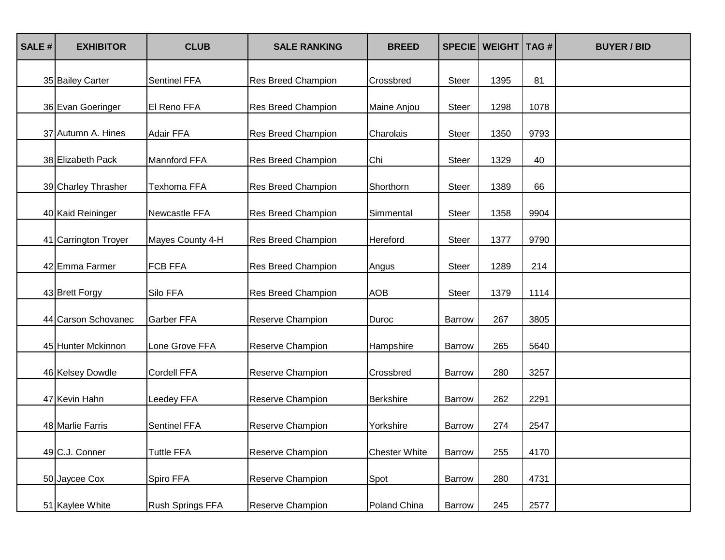| <b>SALE#</b> | <b>EXHIBITOR</b>     | <b>CLUB</b>         | <b>SALE RANKING</b>       | <b>BREED</b>         | <b>SPECIE</b> | <b>WEIGHT</b> | TAG# | <b>BUYER / BID</b> |
|--------------|----------------------|---------------------|---------------------------|----------------------|---------------|---------------|------|--------------------|
|              | 35 Bailey Carter     | <b>Sentinel FFA</b> | <b>Res Breed Champion</b> | Crossbred            | <b>Steer</b>  | 1395          | 81   |                    |
|              | 36 Evan Goeringer    | El Reno FFA         | Res Breed Champion        | Maine Anjou          | <b>Steer</b>  | 1298          | 1078 |                    |
|              | 37 Autumn A. Hines   | <b>Adair FFA</b>    | Res Breed Champion        | Charolais            | <b>Steer</b>  | 1350          | 9793 |                    |
|              | 38 Elizabeth Pack    | <b>Mannford FFA</b> | Res Breed Champion        | Chi                  | <b>Steer</b>  | 1329          | 40   |                    |
|              | 39 Charley Thrasher  | <b>Texhoma FFA</b>  | <b>Res Breed Champion</b> | Shorthorn            | <b>Steer</b>  | 1389          | 66   |                    |
|              | 40 Kaid Reininger    | Newcastle FFA       | <b>Res Breed Champion</b> | Simmental            | <b>Steer</b>  | 1358          | 9904 |                    |
|              | 41 Carrington Troyer | Mayes County 4-H    | <b>Res Breed Champion</b> | Hereford             | <b>Steer</b>  | 1377          | 9790 |                    |
|              | 42 Emma Farmer       | <b>FCB FFA</b>      | <b>Res Breed Champion</b> | Angus                | <b>Steer</b>  | 1289          | 214  |                    |
|              | 43 Brett Forgy       | Silo FFA            | Res Breed Champion        | <b>AOB</b>           | <b>Steer</b>  | 1379          | 1114 |                    |
|              | 44 Carson Schovanec  | Garber FFA          | Reserve Champion          | Duroc                | <b>Barrow</b> | 267           | 3805 |                    |
|              | 45 Hunter Mckinnon   | Lone Grove FFA      | Reserve Champion          | Hampshire            | <b>Barrow</b> | 265           | 5640 |                    |
|              | 46 Kelsey Dowdle     | <b>Cordell FFA</b>  | Reserve Champion          | Crossbred            | Barrow        | 280           | 3257 |                    |
|              | 47 Kevin Hahn        | Leedey FFA          | Reserve Champion          | <b>Berkshire</b>     | <b>Barrow</b> | 262           | 2291 |                    |
|              | 48 Marlie Farris     | <b>Sentinel FFA</b> | Reserve Champion          | Yorkshire            | <b>Barrow</b> | 274           | 2547 |                    |
|              | 49 C.J. Conner       | <b>Tuttle FFA</b>   | Reserve Champion          | <b>Chester White</b> | <b>Barrow</b> | 255           | 4170 |                    |
|              | 50 Jaycee Cox        | Spiro FFA           | Reserve Champion          | Spot                 | <b>Barrow</b> | 280           | 4731 |                    |
|              | 51 Kaylee White      | Rush Springs FFA    | Reserve Champion          | Poland China         | Barrow        | 245           | 2577 |                    |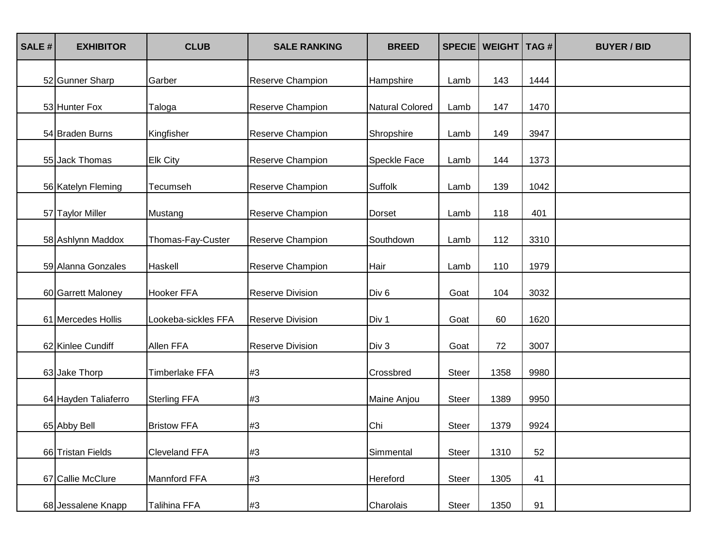| SALE# | <b>EXHIBITOR</b>     | <b>CLUB</b>         | <b>SALE RANKING</b>     | <b>BREED</b>     | <b>SPECIE</b> | <b>WEIGHT</b> | TAG# | <b>BUYER / BID</b> |
|-------|----------------------|---------------------|-------------------------|------------------|---------------|---------------|------|--------------------|
|       | 52 Gunner Sharp      | Garber              | Reserve Champion        | Hampshire        | Lamb          | 143           | 1444 |                    |
|       | 53 Hunter Fox        | Taloga              | Reserve Champion        | Natural Colored  | Lamb          | 147           | 1470 |                    |
|       | 54 Braden Burns      | Kingfisher          | Reserve Champion        | Shropshire       | Lamb          | 149           | 3947 |                    |
|       | 55 Jack Thomas       | <b>Elk City</b>     | Reserve Champion        | Speckle Face     | Lamb          | 144           | 1373 |                    |
|       | 56 Katelyn Fleming   | Tecumseh            | Reserve Champion        | <b>Suffolk</b>   | Lamb          | 139           | 1042 |                    |
|       | 57 Taylor Miller     | Mustang             | Reserve Champion        | <b>Dorset</b>    | Lamb          | 118           | 401  |                    |
|       | 58 Ashlynn Maddox    | Thomas-Fay-Custer   | Reserve Champion        | Southdown        | Lamb          | 112           | 3310 |                    |
|       | 59 Alanna Gonzales   | Haskell             | Reserve Champion        | Hair             | Lamb          | 110           | 1979 |                    |
|       | 60 Garrett Maloney   | <b>Hooker FFA</b>   | <b>Reserve Division</b> | Div <sub>6</sub> | Goat          | 104           | 3032 |                    |
|       | 61 Mercedes Hollis   | Lookeba-sickles FFA | <b>Reserve Division</b> | Div 1            | Goat          | 60            | 1620 |                    |
|       | 62 Kinlee Cundiff    | Allen FFA           | <b>Reserve Division</b> | Div 3            | Goat          | 72            | 3007 |                    |
|       | 63 Jake Thorp        | Timberlake FFA      | #3                      | Crossbred        | <b>Steer</b>  | 1358          | 9980 |                    |
|       | 64 Hayden Taliaferro | <b>Sterling FFA</b> | #3                      | Maine Anjou      | <b>Steer</b>  | 1389          | 9950 |                    |
|       | 65 Abby Bell         | <b>Bristow FFA</b>  | #3                      | Chi              | <b>Steer</b>  | 1379          | 9924 |                    |
|       | 66 Tristan Fields    | Cleveland FFA       | #3                      | Simmental        | <b>Steer</b>  | 1310          | 52   |                    |
|       | 67 Callie McClure    | Mannford FFA        | #3                      | Hereford         | Steer         | 1305          | 41   |                    |
|       | 68 Jessalene Knapp   | <b>Talihina FFA</b> | #3                      | Charolais        | <b>Steer</b>  | 1350          | 91   |                    |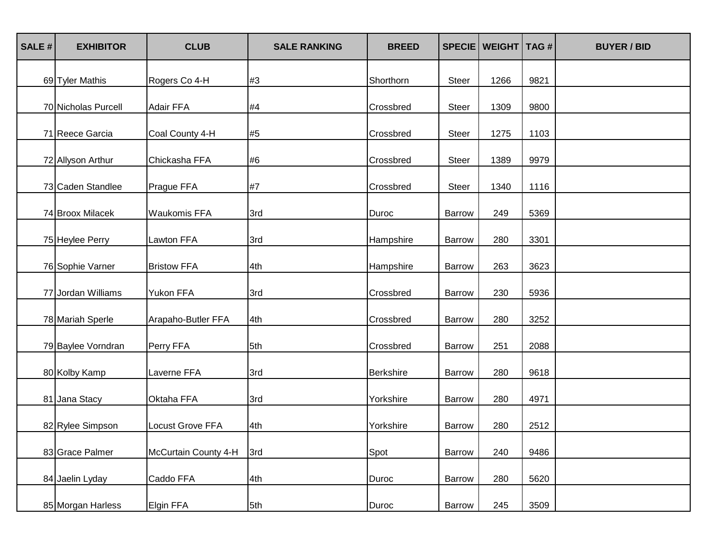| SALE # | <b>EXHIBITOR</b>    | <b>CLUB</b>          | <b>SALE RANKING</b> | <b>BREED</b> | <b>SPECIE</b> | <b>WEIGHT   TAG #</b> |      | <b>BUYER / BID</b> |
|--------|---------------------|----------------------|---------------------|--------------|---------------|-----------------------|------|--------------------|
|        | 69 Tyler Mathis     | Rogers Co 4-H        | #3                  | Shorthorn    | <b>Steer</b>  | 1266                  | 9821 |                    |
|        | 70 Nicholas Purcell | Adair FFA            | #4                  | Crossbred    | <b>Steer</b>  | 1309                  | 9800 |                    |
|        | 71 Reece Garcia     | Coal County 4-H      | #5                  | Crossbred    | <b>Steer</b>  | 1275                  | 1103 |                    |
|        | 72 Allyson Arthur   | Chickasha FFA        | #6                  | Crossbred    | <b>Steer</b>  | 1389                  | 9979 |                    |
|        | 73 Caden Standlee   | Prague FFA           | #7                  | Crossbred    | <b>Steer</b>  | 1340                  | 1116 |                    |
|        | 74 Broox Milacek    | <b>Waukomis FFA</b>  | 3rd                 | Duroc        | <b>Barrow</b> | 249                   | 5369 |                    |
|        | 75 Heylee Perry     | Lawton FFA           | 3rd                 | Hampshire    | <b>Barrow</b> | 280                   | 3301 |                    |
|        | 76 Sophie Varner    | <b>Bristow FFA</b>   | 4th                 | Hampshire    | <b>Barrow</b> | 263                   | 3623 |                    |
|        | 77 Jordan Williams  | Yukon FFA            | 3rd                 | Crossbred    | Barrow        | 230                   | 5936 |                    |
|        | 78 Mariah Sperle    | Arapaho-Butler FFA   | 4th                 | Crossbred    | <b>Barrow</b> | 280                   | 3252 |                    |
|        | 79 Baylee Vorndran  | Perry FFA            | 5th                 | Crossbred    | <b>Barrow</b> | 251                   | 2088 |                    |
|        | 80 Kolby Kamp       | Laverne FFA          | 3rd                 | Berkshire    | Barrow        | 280                   | 9618 |                    |
|        | 81 Jana Stacy       | Oktaha FFA           | 3rd                 | Yorkshire    | <b>Barrow</b> | 280                   | 4971 |                    |
|        | 82 Rylee Simpson    | Locust Grove FFA     | 4th                 | Yorkshire    | <b>Barrow</b> | 280                   | 2512 |                    |
|        | 83 Grace Palmer     | McCurtain County 4-H | 3rd                 | Spot         | Barrow        | 240                   | 9486 |                    |
|        | 84 Jaelin Lyday     | Caddo FFA            | 4th                 | Duroc        | Barrow        | 280                   | 5620 |                    |
|        | 85 Morgan Harless   | Elgin FFA            | 5th                 | Duroc        | Barrow        | 245                   | 3509 |                    |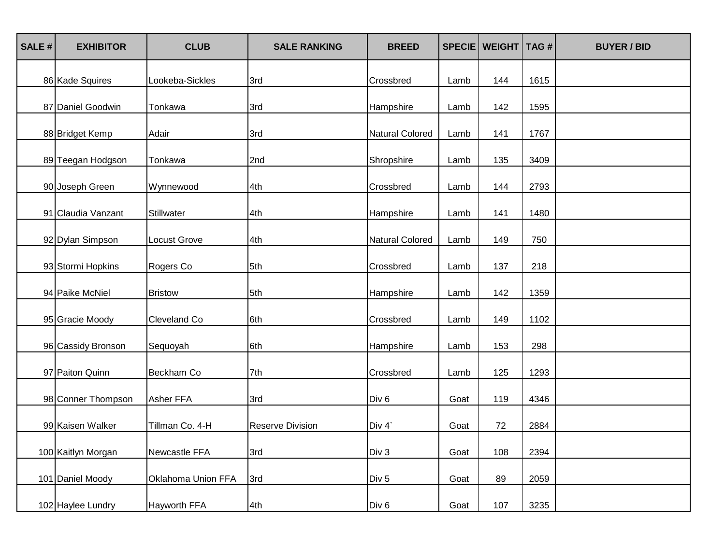| SALE# | <b>EXHIBITOR</b>   | <b>CLUB</b>        | <b>SALE RANKING</b>     | <b>BREED</b>           | <b>SPECIE</b> | <b>WEIGHT</b> | TAG# | <b>BUYER / BID</b> |
|-------|--------------------|--------------------|-------------------------|------------------------|---------------|---------------|------|--------------------|
|       | 86 Kade Squires    | Lookeba-Sickles    | 3rd                     | Crossbred              | Lamb          | 144           | 1615 |                    |
|       | 87 Daniel Goodwin  | Tonkawa            | 3rd                     | Hampshire              | Lamb          | 142           | 1595 |                    |
|       | 88 Bridget Kemp    | Adair              | 3rd                     | <b>Natural Colored</b> | Lamb          | 141           | 1767 |                    |
|       | 89 Teegan Hodgson  | Tonkawa            | 2nd                     | Shropshire             | Lamb          | 135           | 3409 |                    |
|       | 90 Joseph Green    | Wynnewood          | 4th                     | Crossbred              | Lamb          | 144           | 2793 |                    |
|       | 91 Claudia Vanzant | Stillwater         | 4th                     | Hampshire              | Lamb          | 141           | 1480 |                    |
|       | 92 Dylan Simpson   | Locust Grove       | 4th                     | <b>Natural Colored</b> | Lamb          | 149           | 750  |                    |
|       | 93 Stormi Hopkins  | Rogers Co          | 5th                     | Crossbred              | Lamb          | 137           | 218  |                    |
|       | 94 Paike McNiel    | <b>Bristow</b>     | 5th                     | Hampshire              | Lamb          | 142           | 1359 |                    |
|       | 95 Gracie Moody    | Cleveland Co       | 6th                     | Crossbred              | Lamb          | 149           | 1102 |                    |
|       | 96 Cassidy Bronson | Sequoyah           | 6th                     | Hampshire              | Lamb          | 153           | 298  |                    |
|       | 97 Paiton Quinn    | Beckham Co         | 7th                     | Crossbred              | Lamb          | 125           | 1293 |                    |
|       | 98 Conner Thompson | Asher FFA          | 3rd                     | Div <sub>6</sub>       | Goat          | 119           | 4346 |                    |
|       | 99 Kaisen Walker   | Tillman Co. 4-H    | <b>Reserve Division</b> | Div 4                  | Goat          | 72            | 2884 |                    |
|       | 100 Kaitlyn Morgan | Newcastle FFA      | 3rd                     | Div 3                  | Goat          | 108           | 2394 |                    |
|       | 101 Daniel Moody   | Oklahoma Union FFA | 3rd                     | Div <sub>5</sub>       | Goat          | 89            | 2059 |                    |
|       | 102 Haylee Lundry  | Hayworth FFA       | 4th                     | Div 6                  | Goat          | 107           | 3235 |                    |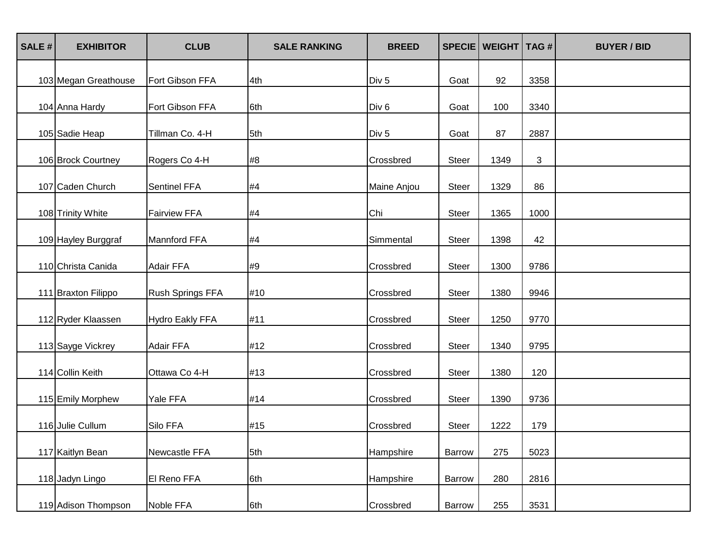| SALE # | <b>EXHIBITOR</b>     | <b>CLUB</b>             | <b>SALE RANKING</b> | <b>BREED</b>     | <b>SPECIE</b> | <b>WEIGHT   TAG #</b> |      | <b>BUYER / BID</b> |
|--------|----------------------|-------------------------|---------------------|------------------|---------------|-----------------------|------|--------------------|
|        | 103 Megan Greathouse | Fort Gibson FFA         | 4th                 | Div <sub>5</sub> | Goat          | 92                    | 3358 |                    |
|        | 104 Anna Hardy       | Fort Gibson FFA         | 6th                 | Div <sub>6</sub> | Goat          | 100                   | 3340 |                    |
|        | 105 Sadie Heap       | Tillman Co. 4-H         | 5th                 | Div <sub>5</sub> | Goat          | 87                    | 2887 |                    |
|        | 106 Brock Courtney   | Rogers Co 4-H           | #8                  | Crossbred        | Steer         | 1349                  | 3    |                    |
|        | 107 Caden Church     | <b>Sentinel FFA</b>     | #4                  | Maine Anjou      | <b>Steer</b>  | 1329                  | 86   |                    |
|        | 108 Trinity White    | <b>Fairview FFA</b>     | #4                  | Chi              | Steer         | 1365                  | 1000 |                    |
|        | 109 Hayley Burggraf  | Mannford FFA            | #4                  | Simmental        | Steer         | 1398                  | 42   |                    |
|        | 110 Christa Canida   | Adair FFA               | #9                  | Crossbred        | <b>Steer</b>  | 1300                  | 9786 |                    |
|        | 111 Braxton Filippo  | <b>Rush Springs FFA</b> | #10                 | Crossbred        | <b>Steer</b>  | 1380                  | 9946 |                    |
|        | 112 Ryder Klaassen   | Hydro Eakly FFA         | #11                 | Crossbred        | Steer         | 1250                  | 9770 |                    |
|        | 113 Sayge Vickrey    | Adair FFA               | #12                 | Crossbred        | <b>Steer</b>  | 1340                  | 9795 |                    |
|        | 114 Collin Keith     | Ottawa Co 4-H           | #13                 | Crossbred        | Steer         | 1380                  | 120  |                    |
|        | 115 Emily Morphew    | Yale FFA                | #14                 | Crossbred        | Steer         | 1390                  | 9736 |                    |
|        | 116 Julie Cullum     | Silo FFA                | #15                 | Crossbred        | <b>Steer</b>  | 1222                  | 179  |                    |
|        | 117 Kaitlyn Bean     | Newcastle FFA           | 5th                 | Hampshire        | Barrow        | 275                   | 5023 |                    |
|        | 118 Jadyn Lingo      | El Reno FFA             | 6th                 | Hampshire        | Barrow        | 280                   | 2816 |                    |
|        | 119 Adison Thompson  | Noble FFA               | 6th                 | Crossbred        | Barrow        | 255                   | 3531 |                    |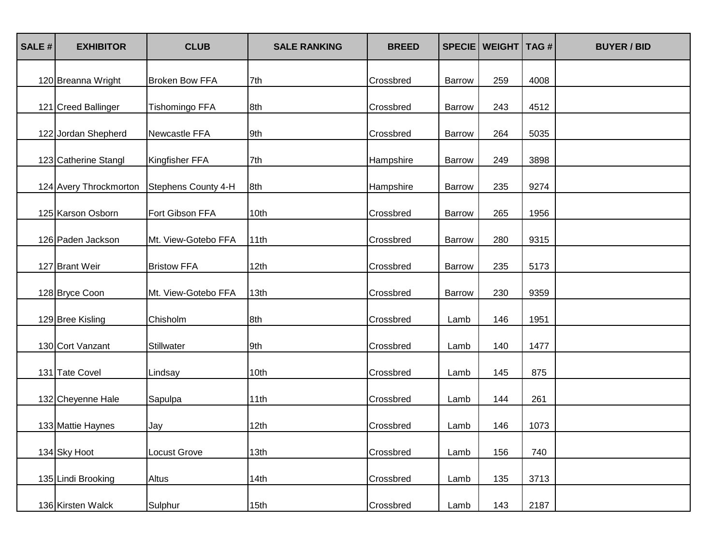| SALE# | <b>EXHIBITOR</b>       | <b>CLUB</b>           | <b>SALE RANKING</b> | <b>BREED</b> | <b>SPECIE</b> | <b>WEIGHT</b> | TAG# | <b>BUYER / BID</b> |
|-------|------------------------|-----------------------|---------------------|--------------|---------------|---------------|------|--------------------|
|       | 120 Breanna Wright     | <b>Broken Bow FFA</b> | 7th                 | Crossbred    | <b>Barrow</b> | 259           | 4008 |                    |
|       | 121 Creed Ballinger    | Tishomingo FFA        | 8th                 | Crossbred    | <b>Barrow</b> | 243           | 4512 |                    |
|       | 122 Jordan Shepherd    | Newcastle FFA         | 9th                 | Crossbred    | <b>Barrow</b> | 264           | 5035 |                    |
|       | 123 Catherine Stangl   | Kingfisher FFA        | 7th                 | Hampshire    | <b>Barrow</b> | 249           | 3898 |                    |
|       | 124 Avery Throckmorton | Stephens County 4-H   | 8th                 | Hampshire    | <b>Barrow</b> | 235           | 9274 |                    |
|       | 125 Karson Osborn      | Fort Gibson FFA       | 10th                | Crossbred    | <b>Barrow</b> | 265           | 1956 |                    |
|       | 126 Paden Jackson      | Mt. View-Gotebo FFA   | 11th                | Crossbred    | Barrow        | 280           | 9315 |                    |
|       | 127 Brant Weir         | <b>Bristow FFA</b>    | 12th                | Crossbred    | <b>Barrow</b> | 235           | 5173 |                    |
|       | 128 Bryce Coon         | Mt. View-Gotebo FFA   | 13th                | Crossbred    | <b>Barrow</b> | 230           | 9359 |                    |
|       | 129 Bree Kisling       | Chisholm              | 8th                 | Crossbred    | Lamb          | 146           | 1951 |                    |
|       | 130 Cort Vanzant       | Stillwater            | 9th                 | Crossbred    | Lamb          | 140           | 1477 |                    |
|       | 131 Tate Covel         | Lindsay               | 10th                | Crossbred    | Lamb          | 145           | 875  |                    |
|       | 132 Cheyenne Hale      | Sapulpa               | 11th                | Crossbred    | Lamb          | 144           | 261  |                    |
|       | 133 Mattie Haynes      | Jay                   | 12th                | Crossbred    | Lamb          | 146           | 1073 |                    |
|       | 134 Sky Hoot           | Locust Grove          | 13th                | Crossbred    | Lamb          | 156           | 740  |                    |
|       | 135 Lindi Brooking     | Altus                 | 14th                | Crossbred    | Lamb          | 135           | 3713 |                    |
|       | 136 Kirsten Walck      | Sulphur               | 15th                | Crossbred    | Lamb          | 143           | 2187 |                    |